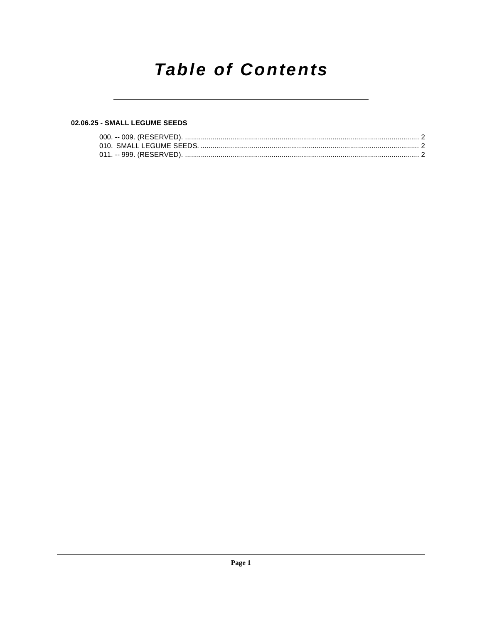# **Table of Contents**

# 02.06.25 - SMALL LEGUME SEEDS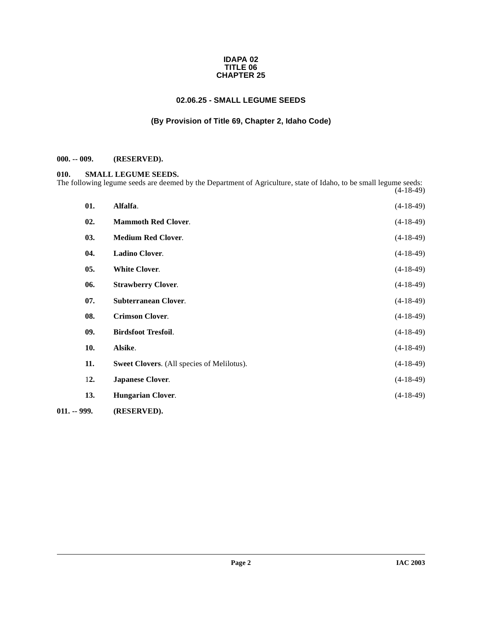#### **IDAPA 02 TITLE 06 CHAPTER 25**

### **02.06.25 - SMALL LEGUME SEEDS**

## **(By Provision of Title 69, Chapter 2, Idaho Code)**

#### <span id="page-1-1"></span><span id="page-1-0"></span>**000. -- 009. (RESERVED).**

#### <span id="page-1-13"></span><span id="page-1-2"></span>**010. SMALL LEGUME SEEDS.**

The following legume seeds are deemed by the Department of Agriculture, state of Idaho, to be small legume seeds: (4-18-49)

<span id="page-1-17"></span><span id="page-1-16"></span><span id="page-1-15"></span><span id="page-1-14"></span><span id="page-1-12"></span><span id="page-1-11"></span><span id="page-1-10"></span><span id="page-1-9"></span><span id="page-1-8"></span><span id="page-1-7"></span><span id="page-1-6"></span><span id="page-1-5"></span><span id="page-1-4"></span><span id="page-1-3"></span>

| 01.           | Alfalfa.                                          | $(4-18-49)$ |
|---------------|---------------------------------------------------|-------------|
| 02.           | <b>Mammoth Red Clover.</b>                        | $(4-18-49)$ |
| 03.           | <b>Medium Red Clover.</b>                         | $(4-18-49)$ |
| 04.           | <b>Ladino Clover.</b>                             | $(4-18-49)$ |
| 05.           | <b>White Clover.</b>                              | $(4-18-49)$ |
| 06.           | <b>Strawberry Clover.</b>                         | $(4-18-49)$ |
| 07.           | <b>Subterranean Clover.</b>                       | $(4-18-49)$ |
| 08.           | <b>Crimson Clover.</b>                            | $(4-18-49)$ |
| 09.           | <b>Birdsfoot Tresfoil.</b>                        | $(4-18-49)$ |
| 10.           | Alsike.                                           | $(4-18-49)$ |
| 11.           | <b>Sweet Clovers.</b> (All species of Melilotus). | $(4-18-49)$ |
| 12.           | <b>Japanese Clover.</b>                           | $(4-18-49)$ |
| 13.           | <b>Hungarian Clover.</b>                          | $(4-18-49)$ |
| $011. - 999.$ | (RESERVED).                                       |             |